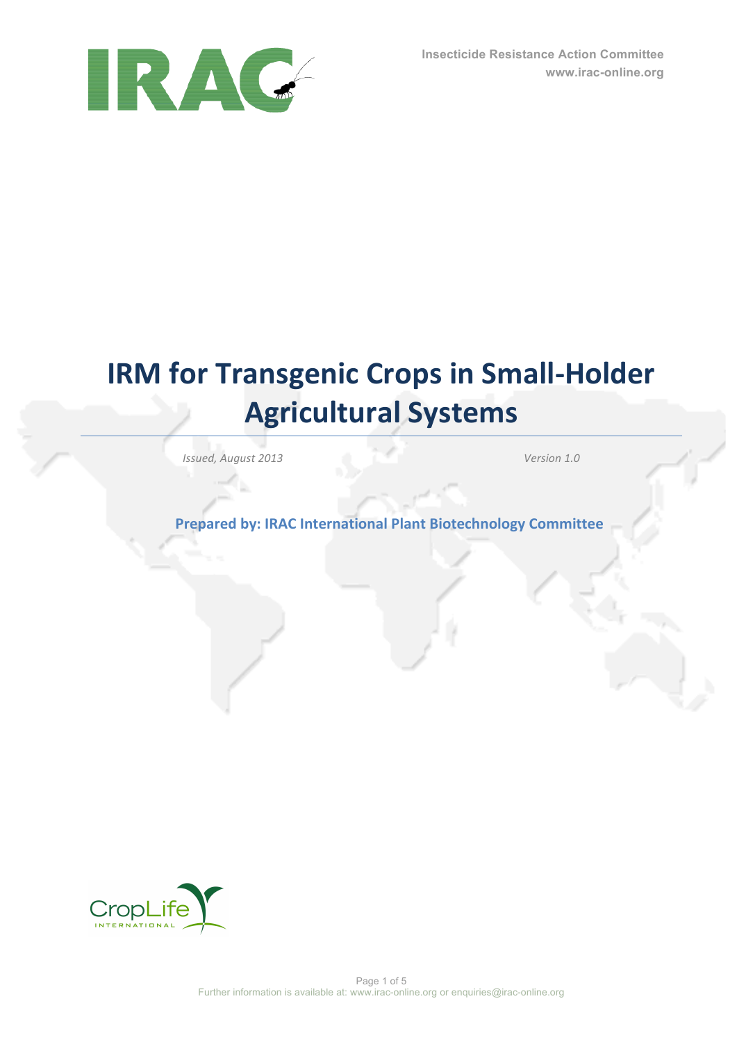

# **IRM** for Transgenic Crops in Small-Holder **Agricultural Systems**

*Issued, August 2013 Marrow <i>I.0 Version 1.0 Version 1.0 Version 1.0 Version 1.0 Version 1.0 Version 1.0 Version 1.0 Version 1.0 Version 1.0 Version 1.0 Version 1.0 Ve* 

**Prepared by: IRAC International Plant Biotechnology Committee** 

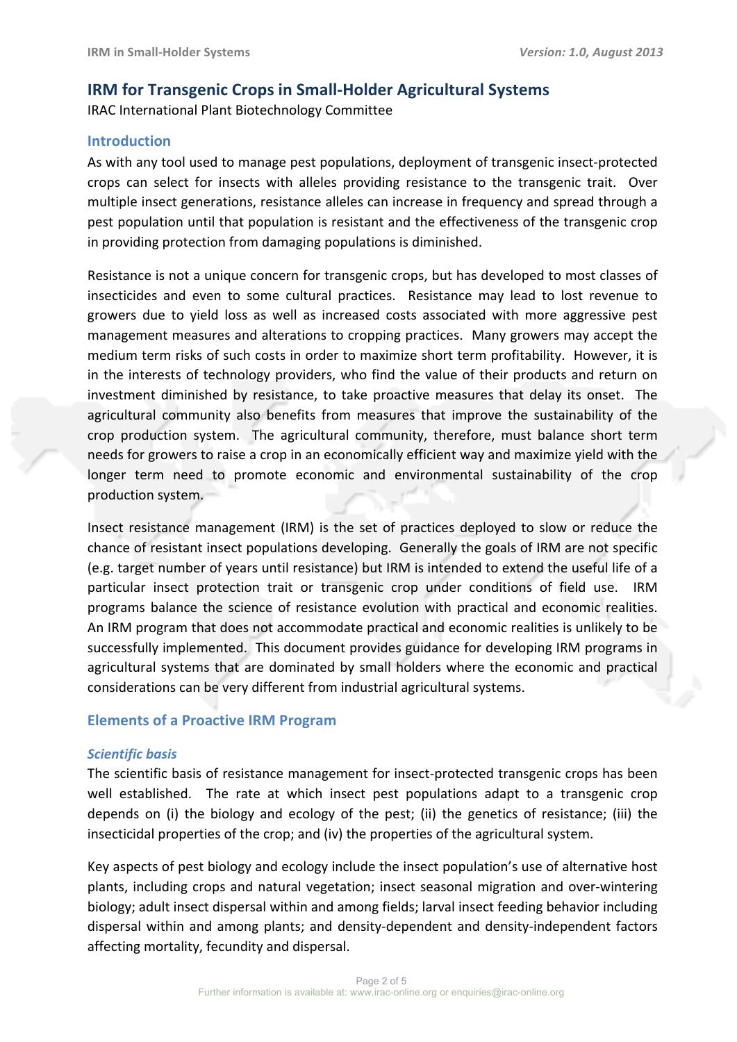# **IRM** for Transgenic Crops in Small-Holder Agricultural Systems

IRAC International Plant Biotechnology Committee

# **Introduction**

As with any tool used to manage pest populations, deployment of transgenic insect-protected crops can select for insects with alleles providing resistance to the transgenic trait. Over multiple insect generations, resistance alleles can increase in frequency and spread through a pest population until that population is resistant and the effectiveness of the transgenic crop in providing protection from damaging populations is diminished.

Resistance is not a unique concern for transgenic crops, but has developed to most classes of insecticides and even to some cultural practices. Resistance may lead to lost revenue to growers due to yield loss as well as increased costs associated with more aggressive pest management measures and alterations to cropping practices. Many growers may accept the medium term risks of such costs in order to maximize short term profitability. However, it is in the interests of technology providers, who find the value of their products and return on investment diminished by resistance, to take proactive measures that delay its onset. The agricultural community also benefits from measures that improve the sustainability of the crop production system. The agricultural community, therefore, must balance short term needs for growers to raise a crop in an economically efficient way and maximize yield with the longer term need to promote economic and environmental sustainability of the crop production system.

Insect resistance management (IRM) is the set of practices deployed to slow or reduce the chance of resistant insect populations developing. Generally the goals of IRM are not specific (e.g. target number of years until resistance) but IRM is intended to extend the useful life of a particular insect protection trait or transgenic crop under conditions of field use. IRM programs balance the science of resistance evolution with practical and economic realities. An IRM program that does not accommodate practical and economic realities is unlikely to be successfully implemented. This document provides guidance for developing IRM programs in agricultural systems that are dominated by small holders where the economic and practical considerations can be very different from industrial agricultural systems.

# **Elements of a Proactive IRM Program**

## *Scientific basis*

The scientific basis of resistance management for insect-protected transgenic crops has been well established. The rate at which insect pest populations adapt to a transgenic crop depends on (i) the biology and ecology of the pest; (ii) the genetics of resistance; (iii) the insecticidal properties of the crop; and (iv) the properties of the agricultural system.

Key aspects of pest biology and ecology include the insect population's use of alternative host plants, including crops and natural vegetation; insect seasonal migration and over-wintering biology; adult insect dispersal within and among fields; larval insect feeding behavior including dispersal within and among plants; and density-dependent and density-independent factors affecting mortality, fecundity and dispersal.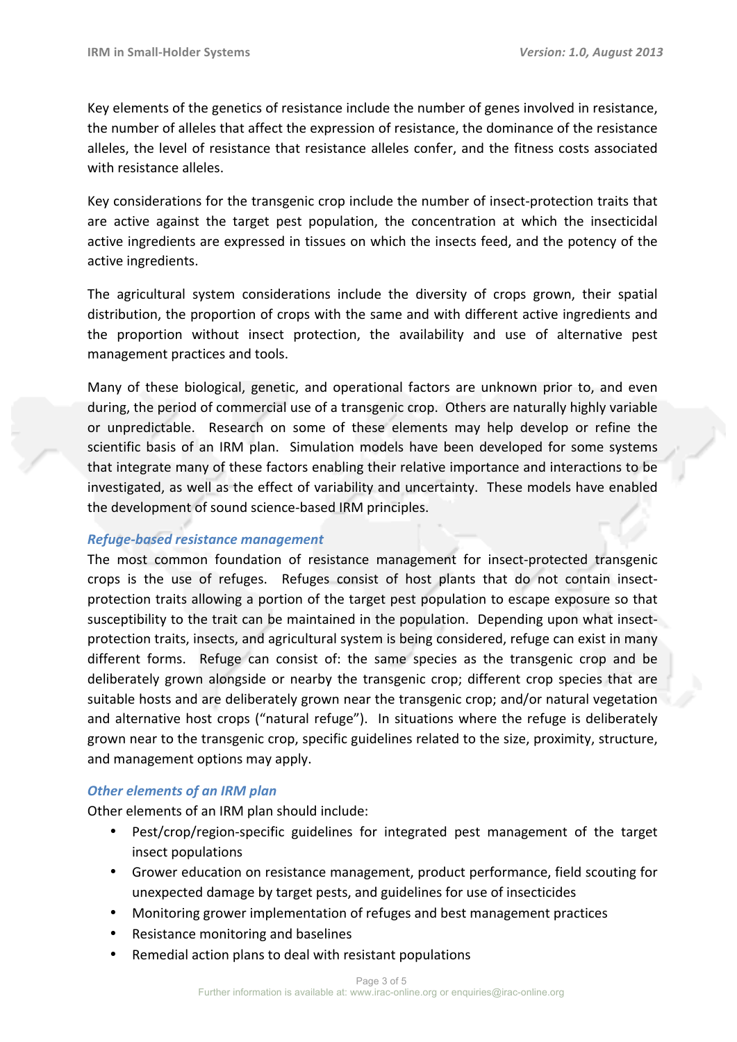Key elements of the genetics of resistance include the number of genes involved in resistance, the number of alleles that affect the expression of resistance, the dominance of the resistance alleles, the level of resistance that resistance alleles confer, and the fitness costs associated with resistance alleles.

Key considerations for the transgenic crop include the number of insect-protection traits that are active against the target pest population, the concentration at which the insecticidal active ingredients are expressed in tissues on which the insects feed, and the potency of the active ingredients.

The agricultural system considerations include the diversity of crops grown, their spatial distribution, the proportion of crops with the same and with different active ingredients and the proportion without insect protection, the availability and use of alternative pest management practices and tools.

Many of these biological, genetic, and operational factors are unknown prior to, and even during, the period of commercial use of a transgenic crop. Others are naturally highly variable or unpredictable. Research on some of these elements may help develop or refine the scientific basis of an IRM plan. Simulation models have been developed for some systems that integrate many of these factors enabling their relative importance and interactions to be investigated, as well as the effect of variability and uncertainty. These models have enabled the development of sound science-based IRM principles.

# *Refuge-based resistance management*

The most common foundation of resistance management for insect-protected transgenic crops is the use of refuges. Refuges consist of host plants that do not contain insectprotection traits allowing a portion of the target pest population to escape exposure so that susceptibility to the trait can be maintained in the population. Depending upon what insectprotection traits, insects, and agricultural system is being considered, refuge can exist in many different forms. Refuge can consist of: the same species as the transgenic crop and be deliberately grown alongside or nearby the transgenic crop; different crop species that are suitable hosts and are deliberately grown near the transgenic crop; and/or natural vegetation and alternative host crops ("natural refuge"). In situations where the refuge is deliberately grown near to the transgenic crop, specific guidelines related to the size, proximity, structure, and management options may apply.

## **Other elements of an IRM plan**

Other elements of an IRM plan should include:

- Pest/crop/region-specific guidelines for integrated pest management of the target insect populations
- Grower education on resistance management, product performance, field scouting for unexpected damage by target pests, and guidelines for use of insecticides
- Monitoring grower implementation of refuges and best management practices
- Resistance monitoring and baselines
- Remedial action plans to deal with resistant populations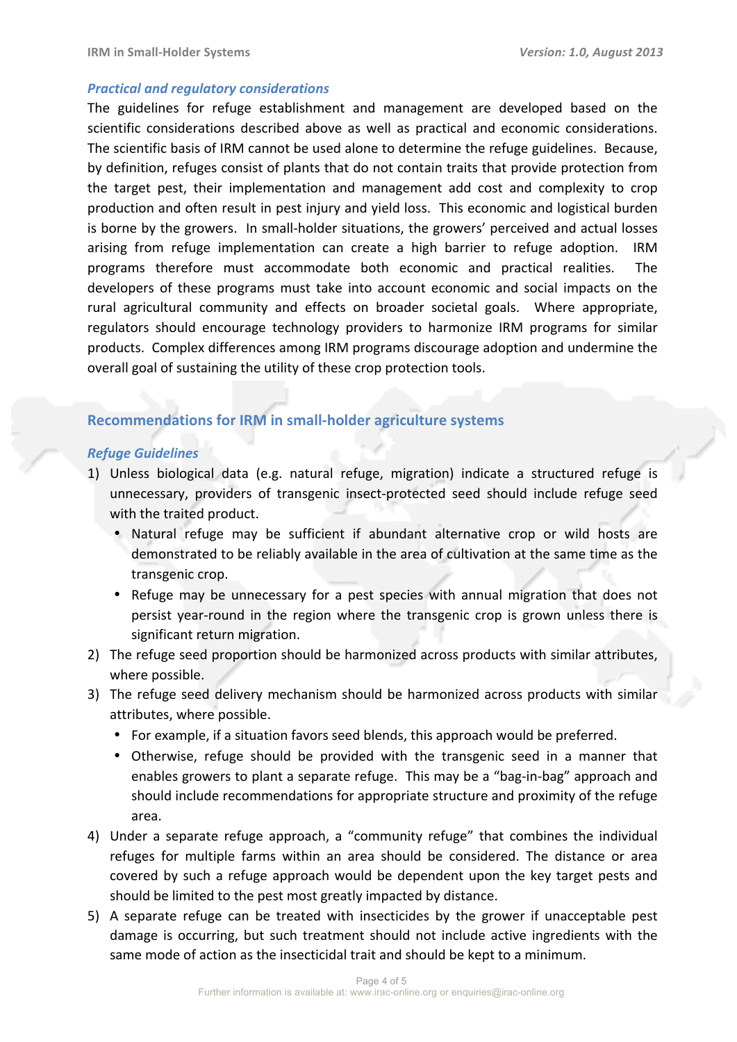#### *Practical and regulatory considerations*

The guidelines for refuge establishment and management are developed based on the scientific considerations described above as well as practical and economic considerations. The scientific basis of IRM cannot be used alone to determine the refuge guidelines. Because, by definition, refuges consist of plants that do not contain traits that provide protection from the target pest, their implementation and management add cost and complexity to crop production and often result in pest injury and yield loss. This economic and logistical burden is borne by the growers. In small-holder situations, the growers' perceived and actual losses arising from refuge implementation can create a high barrier to refuge adoption. IRM programs therefore must accommodate both economic and practical realities. The developers of these programs must take into account economic and social impacts on the rural agricultural community and effects on broader societal goals. Where appropriate, regulators should encourage technology providers to harmonize IRM programs for similar products. Complex differences among IRM programs discourage adoption and undermine the overall goal of sustaining the utility of these crop protection tools.

# **Recommendations for IRM in small-holder agriculture systems**

#### *Refuge Guidelines*

- 1) Unless biological data (e.g. natural refuge, migration) indicate a structured refuge is unnecessary, providers of transgenic insect-protected seed should include refuge seed with the traited product.
	- Natural refuge may be sufficient if abundant alternative crop or wild hosts are demonstrated to be reliably available in the area of cultivation at the same time as the transgenic crop.
	- Refuge may be unnecessary for a pest species with annual migration that does not persist year-round in the region where the transgenic crop is grown unless there is significant return migration.
- 2) The refuge seed proportion should be harmonized across products with similar attributes, where possible.
- 3) The refuge seed delivery mechanism should be harmonized across products with similar attributes, where possible.
	- For example, if a situation favors seed blends, this approach would be preferred.
	- Otherwise, refuge should be provided with the transgenic seed in a manner that enables growers to plant a separate refuge. This may be a "bag-in-bag" approach and should include recommendations for appropriate structure and proximity of the refuge area.
- 4) Under a separate refuge approach, a "community refuge" that combines the individual refuges for multiple farms within an area should be considered. The distance or area covered by such a refuge approach would be dependent upon the key target pests and should be limited to the pest most greatly impacted by distance.
- 5) A separate refuge can be treated with insecticides by the grower if unacceptable pest damage is occurring, but such treatment should not include active ingredients with the same mode of action as the insecticidal trait and should be kept to a minimum.